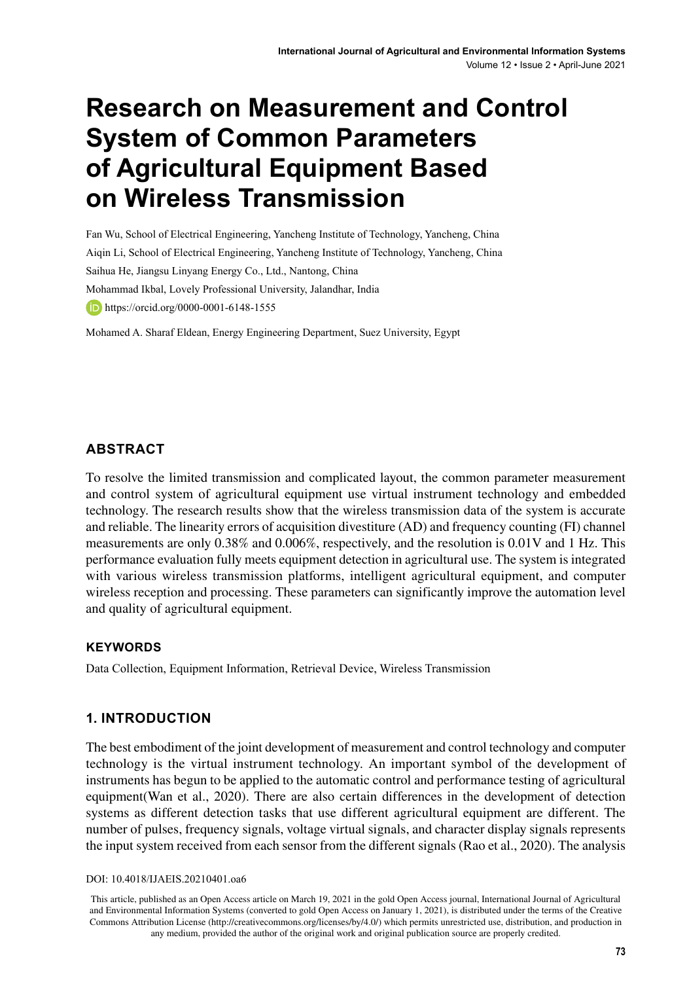# **Research on Measurement and Control System of Common Parameters of Agricultural Equipment Based on Wireless Transmission**

Fan Wu, School of Electrical Engineering, Yancheng Institute of Technology, Yancheng, China Aiqin Li, School of Electrical Engineering, Yancheng Institute of Technology, Yancheng, China Saihua He, Jiangsu Linyang Energy Co., Ltd., Nantong, China Mohammad Ikbal, Lovely Professional University, Jalandhar, India **iD**<https://orcid.org/0000-0001-6148-1555>

Mohamed A. Sharaf Eldean, Energy Engineering Department, Suez University, Egypt

#### **ABSTRACT**

To resolve the limited transmission and complicated layout, the common parameter measurement and control system of agricultural equipment use virtual instrument technology and embedded technology. The research results show that the wireless transmission data of the system is accurate and reliable. The linearity errors of acquisition divestiture (AD) and frequency counting (FI) channel measurements are only 0.38% and 0.006%, respectively, and the resolution is 0.01V and 1 Hz. This performance evaluation fully meets equipment detection in agricultural use. The system is integrated with various wireless transmission platforms, intelligent agricultural equipment, and computer wireless reception and processing. These parameters can significantly improve the automation level and quality of agricultural equipment.

#### **Keywords**

Data Collection, Equipment Information, Retrieval Device, Wireless Transmission

#### **1. INTRODUCTION**

The best embodiment of the joint development of measurement and control technology and computer technology is the virtual instrument technology. An important symbol of the development of instruments has begun to be applied to the automatic control and performance testing of agricultural equipment(Wan et al., 2020). There are also certain differences in the development of detection systems as different detection tasks that use different agricultural equipment are different. The number of pulses, frequency signals, voltage virtual signals, and character display signals represents the input system received from each sensor from the different signals (Rao et al., 2020). The analysis

DOI: 10.4018/IJAEIS.20210401.oa6

This article, published as an Open Access article on March 19, 2021 in the gold Open Access journal, International Journal of Agricultural and Environmental Information Systems (converted to gold Open Access on January 1, 2021), is distributed under the terms of the Creative Commons Attribution License (http://creativecommons.org/licenses/by/4.0/) which permits unrestricted use, distribution, and production in any medium, provided the author of the original work and original publication source are properly credited.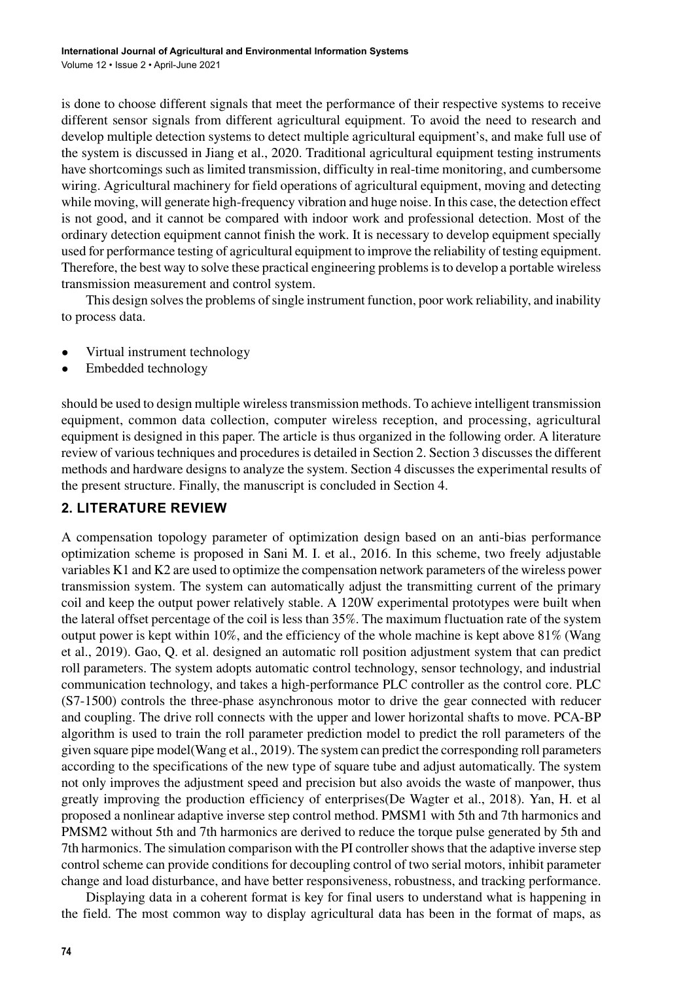is done to choose different signals that meet the performance of their respective systems to receive different sensor signals from different agricultural equipment. To avoid the need to research and develop multiple detection systems to detect multiple agricultural equipment's, and make full use of the system is discussed in Jiang et al., 2020. Traditional agricultural equipment testing instruments have shortcomings such as limited transmission, difficulty in real-time monitoring, and cumbersome wiring. Agricultural machinery for field operations of agricultural equipment, moving and detecting while moving, will generate high-frequency vibration and huge noise. In this case, the detection effect is not good, and it cannot be compared with indoor work and professional detection. Most of the ordinary detection equipment cannot finish the work. It is necessary to develop equipment specially used for performance testing of agricultural equipment to improve the reliability of testing equipment. Therefore, the best way to solve these practical engineering problems is to develop a portable wireless transmission measurement and control system.

This design solves the problems of single instrument function, poor work reliability, and inability to process data.

- Virtual instrument technology
- Embedded technology

should be used to design multiple wireless transmission methods. To achieve intelligent transmission equipment, common data collection, computer wireless reception, and processing, agricultural equipment is designed in this paper. The article is thus organized in the following order. A literature review of various techniques and procedures is detailed in Section 2. Section 3 discusses the different methods and hardware designs to analyze the system. Section 4 discusses the experimental results of the present structure. Finally, the manuscript is concluded in Section 4.

## **2. LITERATURE REVIEW**

A compensation topology parameter of optimization design based on an anti-bias performance optimization scheme is proposed in Sani M. I. et al., 2016. In this scheme, two freely adjustable variables K1 and K2 are used to optimize the compensation network parameters of the wireless power transmission system. The system can automatically adjust the transmitting current of the primary coil and keep the output power relatively stable. A 120W experimental prototypes were built when the lateral offset percentage of the coil is less than 35%. The maximum fluctuation rate of the system output power is kept within 10%, and the efficiency of the whole machine is kept above 81% (Wang et al., 2019). Gao, Q. et al. designed an automatic roll position adjustment system that can predict roll parameters. The system adopts automatic control technology, sensor technology, and industrial communication technology, and takes a high-performance PLC controller as the control core. PLC (S7-1500) controls the three-phase asynchronous motor to drive the gear connected with reducer and coupling. The drive roll connects with the upper and lower horizontal shafts to move. PCA-BP algorithm is used to train the roll parameter prediction model to predict the roll parameters of the given square pipe model(Wang et al., 2019). The system can predict the corresponding roll parameters according to the specifications of the new type of square tube and adjust automatically. The system not only improves the adjustment speed and precision but also avoids the waste of manpower, thus greatly improving the production efficiency of enterprises(De Wagter et al., 2018). Yan, H. et al proposed a nonlinear adaptive inverse step control method. PMSM1 with 5th and 7th harmonics and PMSM2 without 5th and 7th harmonics are derived to reduce the torque pulse generated by 5th and 7th harmonics. The simulation comparison with the PI controller shows that the adaptive inverse step control scheme can provide conditions for decoupling control of two serial motors, inhibit parameter change and load disturbance, and have better responsiveness, robustness, and tracking performance.

Displaying data in a coherent format is key for final users to understand what is happening in the field. The most common way to display agricultural data has been in the format of maps, as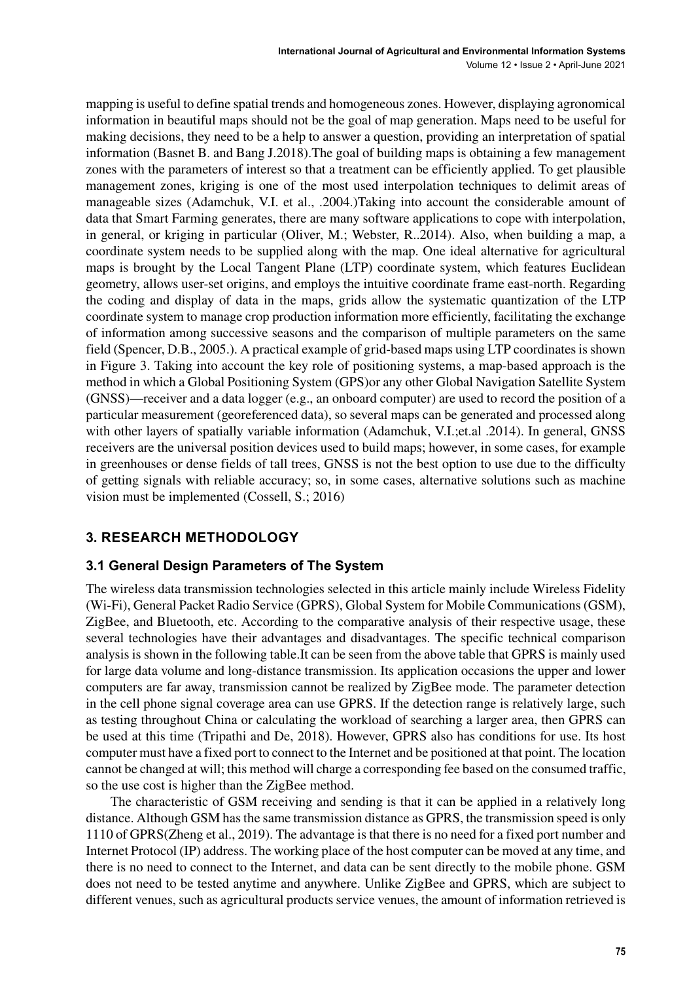mapping is useful to define spatial trends and homogeneous zones. However, displaying agronomical information in beautiful maps should not be the goal of map generation. Maps need to be useful for making decisions, they need to be a help to answer a question, providing an interpretation of spatial information (Basnet B. and Bang J.2018).The goal of building maps is obtaining a few management zones with the parameters of interest so that a treatment can be efficiently applied. To get plausible management zones, kriging is one of the most used interpolation techniques to delimit areas of manageable sizes (Adamchuk, V.I. et al., .2004.)Taking into account the considerable amount of data that Smart Farming generates, there are many software applications to cope with interpolation, in general, or kriging in particular (Oliver, M.; Webster, R..2014). Also, when building a map, a coordinate system needs to be supplied along with the map. One ideal alternative for agricultural maps is brought by the Local Tangent Plane (LTP) coordinate system, which features Euclidean geometry, allows user-set origins, and employs the intuitive coordinate frame east-north. Regarding the coding and display of data in the maps, grids allow the systematic quantization of the LTP coordinate system to manage crop production information more efficiently, facilitating the exchange of information among successive seasons and the comparison of multiple parameters on the same field (Spencer, D.B., 2005.). A practical example of grid-based maps using LTP coordinates is shown in Figure 3. Taking into account the key role of positioning systems, a map-based approach is the method in which a Global Positioning System (GPS)or any other Global Navigation Satellite System (GNSS)—receiver and a data logger (e.g., an onboard computer) are used to record the position of a particular measurement (georeferenced data), so several maps can be generated and processed along with other layers of spatially variable information (Adamchuk, V.I.;et.al .2014). In general, GNSS receivers are the universal position devices used to build maps; however, in some cases, for example in greenhouses or dense fields of tall trees, GNSS is not the best option to use due to the difficulty of getting signals with reliable accuracy; so, in some cases, alternative solutions such as machine vision must be implemented (Cossell, S.; 2016)

# **3. RESEARCH METHODOLOGY**

## **3.1 General Design Parameters of The System**

The wireless data transmission technologies selected in this article mainly include Wireless Fidelity (Wi-Fi), General Packet Radio Service (GPRS), Global System for Mobile Communications (GSM), ZigBee, and Bluetooth, etc. According to the comparative analysis of their respective usage, these several technologies have their advantages and disadvantages. The specific technical comparison analysis is shown in the following table.It can be seen from the above table that GPRS is mainly used for large data volume and long-distance transmission. Its application occasions the upper and lower computers are far away, transmission cannot be realized by ZigBee mode. The parameter detection in the cell phone signal coverage area can use GPRS. If the detection range is relatively large, such as testing throughout China or calculating the workload of searching a larger area, then GPRS can be used at this time (Tripathi and De, 2018). However, GPRS also has conditions for use. Its host computer must have a fixed port to connect to the Internet and be positioned at that point. The location cannot be changed at will; this method will charge a corresponding fee based on the consumed traffic, so the use cost is higher than the ZigBee method.

The characteristic of GSM receiving and sending is that it can be applied in a relatively long distance. Although GSM has the same transmission distance as GPRS, the transmission speed is only 1110 of GPRS(Zheng et al., 2019). The advantage is that there is no need for a fixed port number and Internet Protocol (IP) address. The working place of the host computer can be moved at any time, and there is no need to connect to the Internet, and data can be sent directly to the mobile phone. GSM does not need to be tested anytime and anywhere. Unlike ZigBee and GPRS, which are subject to different venues, such as agricultural products service venues, the amount of information retrieved is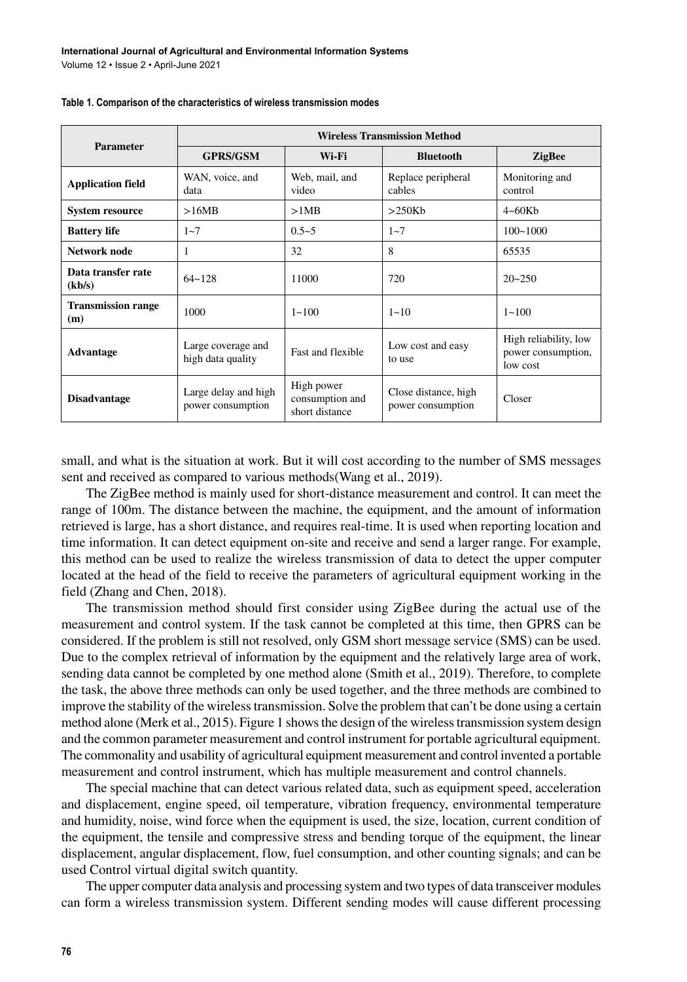| <b>Parameter</b>                 | <b>Wireless Transmission Method</b>                                    |                                                 |                                           |                                                         |  |  |  |  |
|----------------------------------|------------------------------------------------------------------------|-------------------------------------------------|-------------------------------------------|---------------------------------------------------------|--|--|--|--|
|                                  | <b>GPRS/GSM</b>                                                        | Wi-Fi                                           | <b>Bluetooth</b>                          | <b>ZigBee</b>                                           |  |  |  |  |
| <b>Application field</b>         | WAN, voice, and<br>data                                                | Web, mail, and<br>video                         | Replace peripheral<br>cables              | Monitoring and<br>control                               |  |  |  |  |
| <b>System resource</b>           | >16MB                                                                  | >1MB                                            | >250Kb                                    | $4 \sim 60$ Kb                                          |  |  |  |  |
| <b>Battery life</b>              | $1 - 7$                                                                | $0.5 - 5$                                       | $1 - 7$                                   | $100 - 1000$                                            |  |  |  |  |
| Network node                     | 1                                                                      | 32                                              | 8                                         | 65535                                                   |  |  |  |  |
| Data transfer rate<br>(kb/s)     | $64 - 128$                                                             | 11000                                           | 720                                       | $20 - 250$                                              |  |  |  |  |
| <b>Transmission range</b><br>(m) | 1000                                                                   | $1 - 100$                                       | $1 - 10$                                  | $1 - 100$                                               |  |  |  |  |
| <b>Advantage</b>                 | Large coverage and<br>Fast and flexible<br>high data quality<br>to use |                                                 | Low cost and easy                         | High reliability, low<br>power consumption,<br>low cost |  |  |  |  |
| <b>Disadvantage</b>              | Large delay and high<br>power consumption                              | High power<br>consumption and<br>short distance | Close distance, high<br>power consumption | Closer                                                  |  |  |  |  |

| Table 1. Comparison of the characteristics of wireless transmission modes |
|---------------------------------------------------------------------------|
|---------------------------------------------------------------------------|

small, and what is the situation at work. But it will cost according to the number of SMS messages sent and received as compared to various methods(Wang et al., 2019).

The ZigBee method is mainly used for short-distance measurement and control. It can meet the range of 100m. The distance between the machine, the equipment, and the amount of information retrieved is large, has a short distance, and requires real-time. It is used when reporting location and time information. It can detect equipment on-site and receive and send a larger range. For example, this method can be used to realize the wireless transmission of data to detect the upper computer located at the head of the field to receive the parameters of agricultural equipment working in the field (Zhang and Chen, 2018).

The transmission method should first consider using ZigBee during the actual use of the measurement and control system. If the task cannot be completed at this time, then GPRS can be considered. If the problem is still not resolved, only GSM short message service (SMS) can be used. Due to the complex retrieval of information by the equipment and the relatively large area of work, sending data cannot be completed by one method alone (Smith et al., 2019). Therefore, to complete the task, the above three methods can only be used together, and the three methods are combined to improve the stability of the wireless transmission. Solve the problem that can't be done using a certain method alone (Merk et al., 2015). Figure 1 shows the design of the wireless transmission system design and the common parameter measurement and control instrument for portable agricultural equipment. The commonality and usability of agricultural equipment measurement and control invented a portable measurement and control instrument, which has multiple measurement and control channels.

The special machine that can detect various related data, such as equipment speed, acceleration and displacement, engine speed, oil temperature, vibration frequency, environmental temperature and humidity, noise, wind force when the equipment is used, the size, location, current condition of the equipment, the tensile and compressive stress and bending torque of the equipment, the linear displacement, angular displacement, flow, fuel consumption, and other counting signals; and can be used Control virtual digital switch quantity.

The upper computer data analysis and processing system and two types of data transceiver modules can form a wireless transmission system. Different sending modes will cause different processing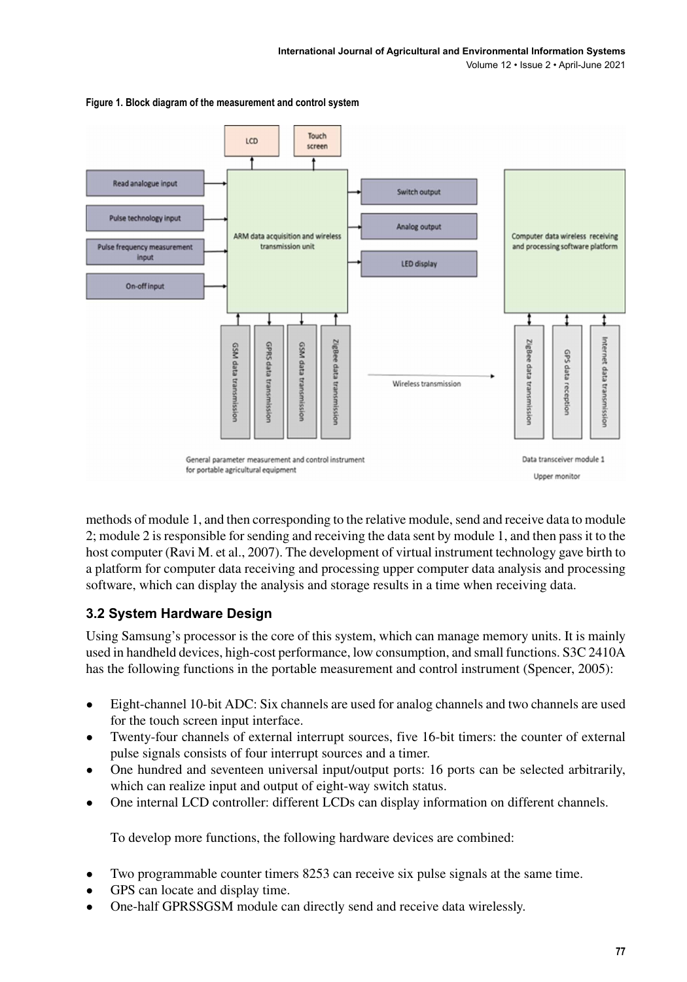Volume 12 • Issue 2 • April-June 2021



**Figure 1. Block diagram of the measurement and control system**

methods of module 1, and then corresponding to the relative module, send and receive data to module 2; module 2 is responsible for sending and receiving the data sent by module 1, and then pass it to the host computer (Ravi M. et al., 2007). The development of virtual instrument technology gave birth to a platform for computer data receiving and processing upper computer data analysis and processing software, which can display the analysis and storage results in a time when receiving data.

## **3.2 System Hardware Design**

Using Samsung's processor is the core of this system, which can manage memory units. It is mainly used in handheld devices, high-cost performance, low consumption, and small functions. S3C 2410A has the following functions in the portable measurement and control instrument (Spencer, 2005):

- Eight-channel 10-bit ADC: Six channels are used for analog channels and two channels are used for the touch screen input interface.
- Twenty-four channels of external interrupt sources, five 16-bit timers: the counter of external pulse signals consists of four interrupt sources and a timer.
- One hundred and seventeen universal input/output ports: 16 ports can be selected arbitrarily, which can realize input and output of eight-way switch status.
- One internal LCD controller: different LCDs can display information on different channels.

To develop more functions, the following hardware devices are combined:

- Two programmable counter timers 8253 can receive six pulse signals at the same time.
- GPS can locate and display time.
- One-half GPRSSGSM module can directly send and receive data wirelessly.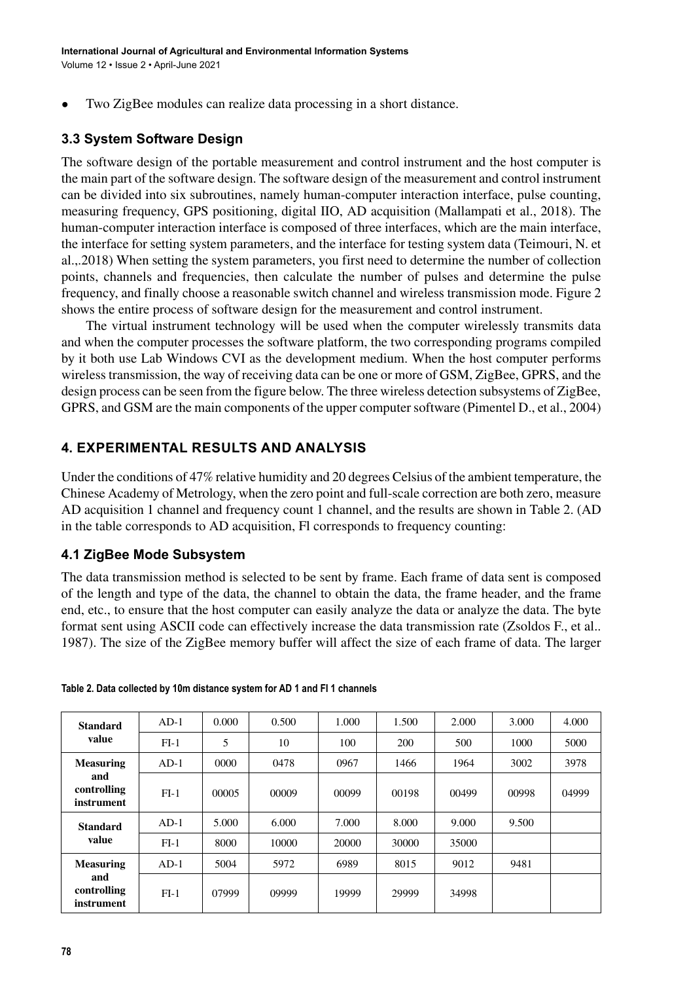• Two ZigBee modules can realize data processing in a short distance.

# **3.3 System Software Design**

The software design of the portable measurement and control instrument and the host computer is the main part of the software design. The software design of the measurement and control instrument can be divided into six subroutines, namely human-computer interaction interface, pulse counting, measuring frequency, GPS positioning, digital IIO, AD acquisition (Mallampati et al., 2018). The human-computer interaction interface is composed of three interfaces, which are the main interface, the interface for setting system parameters, and the interface for testing system data (Teimouri, N. et al.,.2018) When setting the system parameters, you first need to determine the number of collection points, channels and frequencies, then calculate the number of pulses and determine the pulse frequency, and finally choose a reasonable switch channel and wireless transmission mode. Figure 2 shows the entire process of software design for the measurement and control instrument.

The virtual instrument technology will be used when the computer wirelessly transmits data and when the computer processes the software platform, the two corresponding programs compiled by it both use Lab Windows CVI as the development medium. When the host computer performs wireless transmission, the way of receiving data can be one or more of GSM, ZigBee, GPRS, and the design process can be seen from the figure below. The three wireless detection subsystems of ZigBee, GPRS, and GSM are the main components of the upper computer software (Pimentel D., et al., 2004)

## **4. EXPERIMENTAL RESULTS AND ANALYSIS**

Under the conditions of 47% relative humidity and 20 degrees Celsius of the ambient temperature, the Chinese Academy of Metrology, when the zero point and full-scale correction are both zero, measure AD acquisition 1 channel and frequency count 1 channel, and the results are shown in Table 2. (AD in the table corresponds to AD acquisition, Fl corresponds to frequency counting:

## **4.1 ZigBee Mode Subsystem**

The data transmission method is selected to be sent by frame. Each frame of data sent is composed of the length and type of the data, the channel to obtain the data, the frame header, and the frame end, etc., to ensure that the host computer can easily analyze the data or analyze the data. The byte format sent using ASCII code can effectively increase the data transmission rate (Zsoldos F., et al.. 1987). The size of the ZigBee memory buffer will affect the size of each frame of data. The larger

| <b>Standard</b><br>value         | $AD-1$ | 0.000 | 0.500 | 1.000 | 1.500 | 2.000 | 3.000 | 4.000 |
|----------------------------------|--------|-------|-------|-------|-------|-------|-------|-------|
|                                  | $FI-1$ | 5     | 10    | 100   | 200   | 500   | 1000  | 5000  |
| <b>Measuring</b>                 | $AD-1$ | 0000  | 0478  | 0967  | 1466  | 1964  | 3002  | 3978  |
| and<br>controlling<br>instrument | $FI-1$ | 00005 | 00009 | 00099 | 00198 | 00499 | 00998 | 04999 |
| <b>Standard</b><br>value         | $AD-1$ | 5.000 | 6.000 | 7.000 | 8.000 | 9.000 | 9.500 |       |
|                                  | $FI-1$ | 8000  | 10000 | 20000 | 30000 | 35000 |       |       |
| <b>Measuring</b>                 | $AD-1$ | 5004  | 5972  | 6989  | 8015  | 9012  | 9481  |       |
| and<br>controlling<br>instrument | $FI-1$ | 07999 | 09999 | 19999 | 29999 | 34998 |       |       |

**Table 2. Data collected by 10m distance system for AD 1 and FI 1 channels**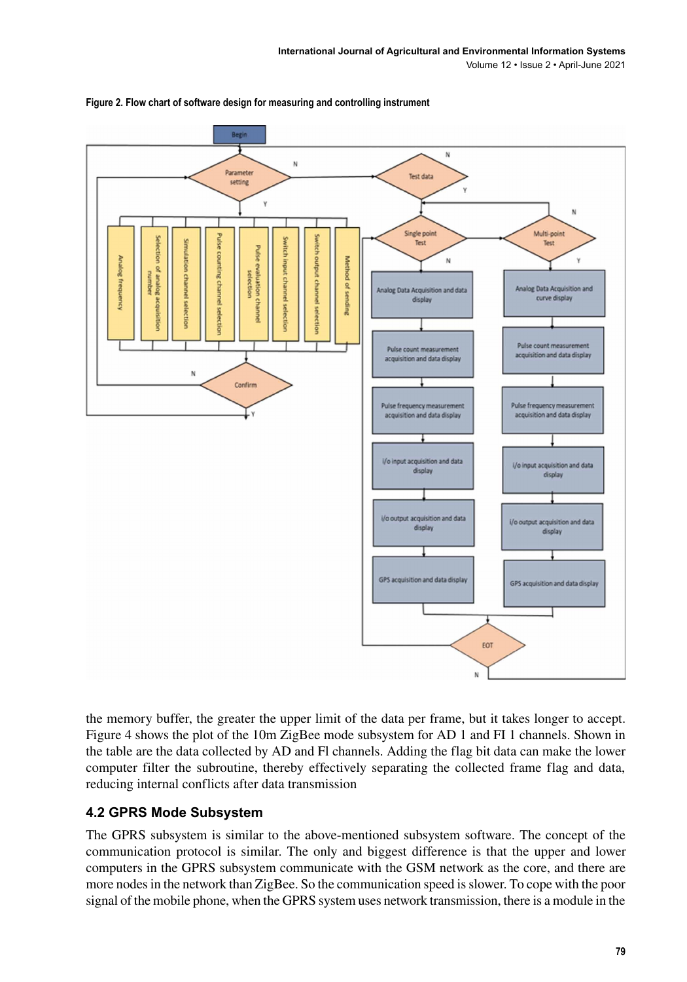

**Figure 2. Flow chart of software design for measuring and controlling instrument**

the memory buffer, the greater the upper limit of the data per frame, but it takes longer to accept. Figure 4 shows the plot of the 10m ZigBee mode subsystem for AD 1 and FI 1 channels. Shown in the table are the data collected by AD and Fl channels. Adding the flag bit data can make the lower computer filter the subroutine, thereby effectively separating the collected frame flag and data, reducing internal conflicts after data transmission

## **4.2 GPRS Mode Subsystem**

The GPRS subsystem is similar to the above-mentioned subsystem software. The concept of the communication protocol is similar. The only and biggest difference is that the upper and lower computers in the GPRS subsystem communicate with the GSM network as the core, and there are more nodes in the network than ZigBee. So the communication speed is slower. To cope with the poor signal of the mobile phone, when the GPRS system uses network transmission, there is a module in the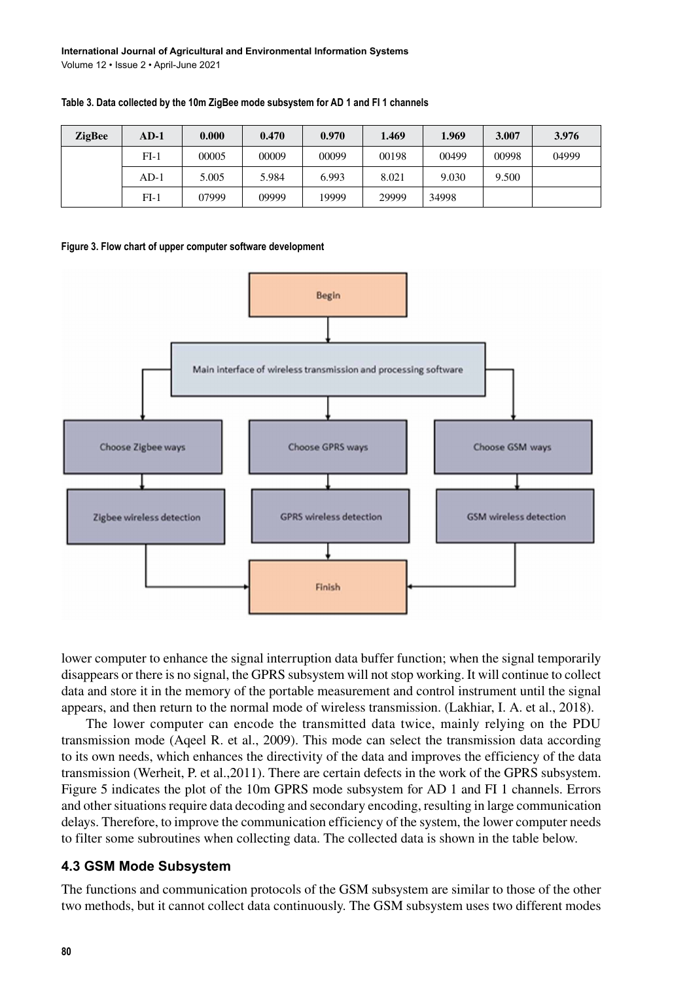| <b>ZigBee</b> | $AD-1$ | 0.000 | 0.470 | 0.970 | 1.469 | 1.969 | 3.007 | 3.976 |
|---------------|--------|-------|-------|-------|-------|-------|-------|-------|
|               | $FI-1$ | 00005 | 00009 | 00099 | 00198 | 00499 | 00998 | 04999 |
|               | $AD-1$ | 5.005 | 5.984 | 6.993 | 8.021 | 9.030 | 9.500 |       |
|               | $FI-1$ | 07999 | 09999 | 19999 | 29999 | 34998 |       |       |

**Table 3. Data collected by the 10m ZigBee mode subsystem for AD 1 and FI 1 channels**





lower computer to enhance the signal interruption data buffer function; when the signal temporarily disappears or there is no signal, the GPRS subsystem will not stop working. It will continue to collect data and store it in the memory of the portable measurement and control instrument until the signal appears, and then return to the normal mode of wireless transmission. (Lakhiar, I. A. et al., 2018).

The lower computer can encode the transmitted data twice, mainly relying on the PDU transmission mode (Aqeel R. et al., 2009). This mode can select the transmission data according to its own needs, which enhances the directivity of the data and improves the efficiency of the data transmission (Werheit, P. et al.,2011). There are certain defects in the work of the GPRS subsystem. Figure 5 indicates the plot of the 10m GPRS mode subsystem for AD 1 and FI 1 channels. Errors and other situations require data decoding and secondary encoding, resulting in large communication delays. Therefore, to improve the communication efficiency of the system, the lower computer needs to filter some subroutines when collecting data. The collected data is shown in the table below.

## **4.3 GSM Mode Subsystem**

The functions and communication protocols of the GSM subsystem are similar to those of the other two methods, but it cannot collect data continuously. The GSM subsystem uses two different modes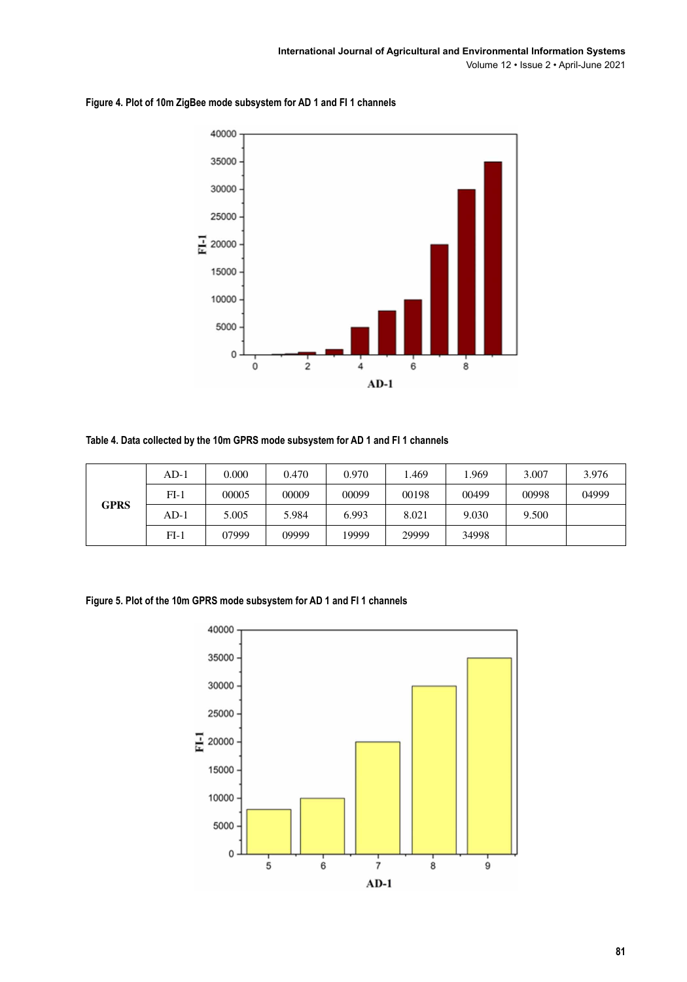



**Table 4. Data collected by the 10m GPRS mode subsystem for AD 1 and FI 1 channels**

|             | AD-1   | 0.000 | 0.470 | 0.970 | .469  | .969  | 3.007 | 3.976 |
|-------------|--------|-------|-------|-------|-------|-------|-------|-------|
|             | $FI-1$ | 00005 | 00009 | 00099 | 00198 | 00499 | 00998 | 04999 |
| <b>GPRS</b> | $AD-1$ | 5.005 | 5.984 | 6.993 | 8.021 | 9.030 | 9.500 |       |
|             | $FI-1$ | 07999 | 09999 | 19999 | 29999 | 34998 |       |       |

**Figure 5. Plot of the 10m GPRS mode subsystem for AD 1 and FI 1 channels**

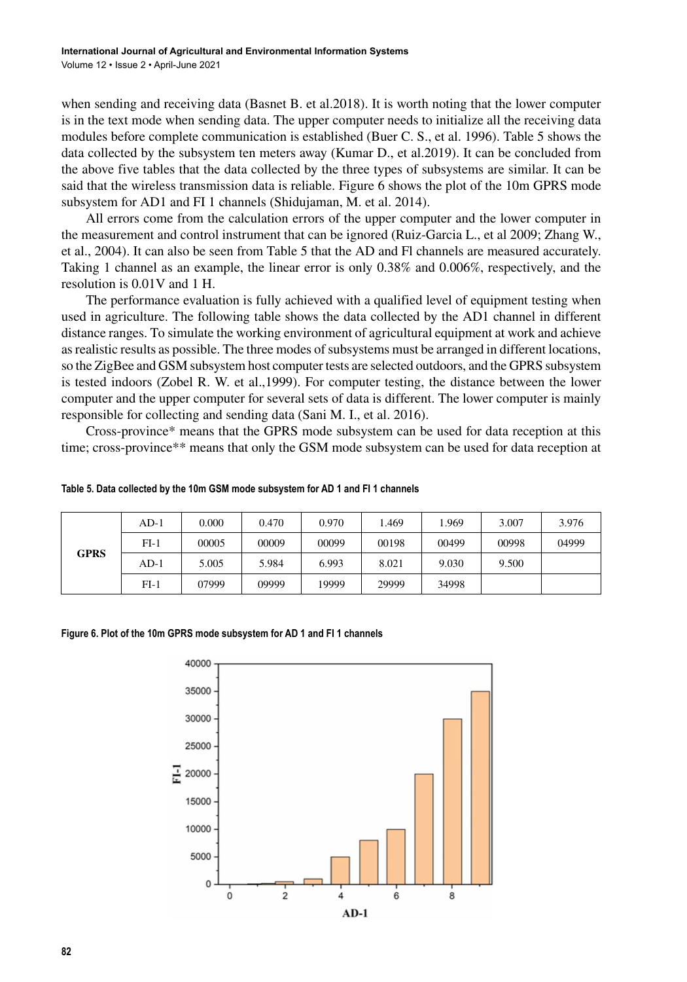when sending and receiving data (Basnet B. et al.2018). It is worth noting that the lower computer is in the text mode when sending data. The upper computer needs to initialize all the receiving data modules before complete communication is established (Buer C. S., et al. 1996). Table 5 shows the data collected by the subsystem ten meters away (Kumar D., et al.2019). It can be concluded from the above five tables that the data collected by the three types of subsystems are similar. It can be said that the wireless transmission data is reliable. Figure 6 shows the plot of the 10m GPRS mode subsystem for AD1 and FI 1 channels (Shidujaman, M. et al. 2014).

All errors come from the calculation errors of the upper computer and the lower computer in the measurement and control instrument that can be ignored (Ruiz-Garcia L., et al 2009; Zhang W., et al., 2004). It can also be seen from Table 5 that the AD and Fl channels are measured accurately. Taking 1 channel as an example, the linear error is only 0.38% and 0.006%, respectively, and the resolution is 0.01V and 1 H.

The performance evaluation is fully achieved with a qualified level of equipment testing when used in agriculture. The following table shows the data collected by the AD1 channel in different distance ranges. To simulate the working environment of agricultural equipment at work and achieve as realistic results as possible. The three modes of subsystems must be arranged in different locations, so the ZigBee and GSM subsystem host computer tests are selected outdoors, and the GPRS subsystem is tested indoors (Zobel R. W. et al.,1999). For computer testing, the distance between the lower computer and the upper computer for several sets of data is different. The lower computer is mainly responsible for collecting and sending data (Sani M. I., et al. 2016).

Cross-province\* means that the GPRS mode subsystem can be used for data reception at this time; cross-province\*\* means that only the GSM mode subsystem can be used for data reception at

| <b>GPRS</b> | AD-1   | 0.000 | 0.470 | 0.970 | .469  | 1.969 | 3.007 | 3.976 |
|-------------|--------|-------|-------|-------|-------|-------|-------|-------|
|             | $FI-1$ | 00005 | 00009 | 00099 | 00198 | 00499 | 00998 | 04999 |
|             | $AD-1$ | 5.005 | 5.984 | 6.993 | 8.021 | 9.030 | 9.500 |       |
|             | $FI-1$ | 07999 | 09999 | 19999 | 29999 | 34998 |       |       |

#### **Table 5. Data collected by the 10m GSM mode subsystem for AD 1 and FI 1 channels**

#### **Figure 6. Plot of the 10m GPRS mode subsystem for AD 1 and FI 1 channels**

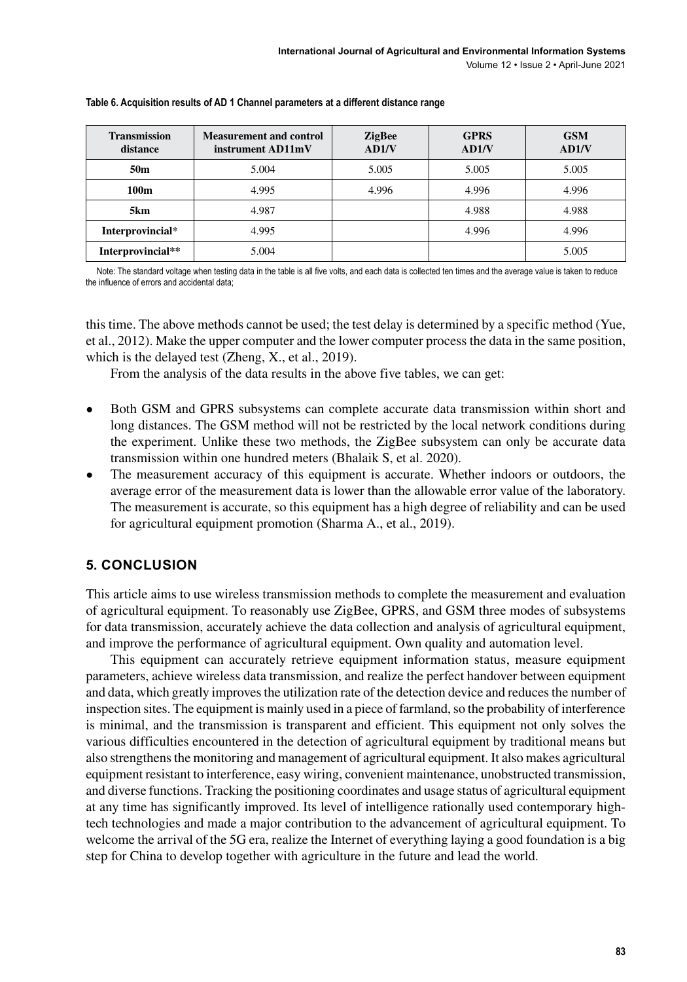| <b>Transmission</b><br>distance | <b>Measurement and control</b><br>instrument AD11mV | <b>ZigBee</b><br>AD1/V | <b>GPRS</b><br>AD1/V | <b>GSM</b><br>AD1/V |
|---------------------------------|-----------------------------------------------------|------------------------|----------------------|---------------------|
| 50 <sub>m</sub>                 | 5.004                                               | 5.005                  | 5.005                | 5.005               |
| 100m                            | 4.995                                               | 4.996                  | 4.996                | 4.996               |
| 5km                             | 4.987                                               |                        | 4.988                | 4.988               |
| Interprovincial*                | 4.995                                               |                        | 4.996                | 4.996               |
| Interprovincial**               | 5.004                                               |                        |                      | 5.005               |

#### **Table 6. Acquisition results of AD 1 Channel parameters at a different distance range**

Note: The standard voltage when testing data in the table is all five volts, and each data is collected ten times and the average value is taken to reduce the influence of errors and accidental data;

this time. The above methods cannot be used; the test delay is determined by a specific method (Yue, et al., 2012). Make the upper computer and the lower computer process the data in the same position, which is the delayed test (Zheng, X., et al., 2019).

From the analysis of the data results in the above five tables, we can get:

- Both GSM and GPRS subsystems can complete accurate data transmission within short and long distances. The GSM method will not be restricted by the local network conditions during the experiment. Unlike these two methods, the ZigBee subsystem can only be accurate data transmission within one hundred meters (Bhalaik S, et al. 2020).
- The measurement accuracy of this equipment is accurate. Whether indoors or outdoors, the average error of the measurement data is lower than the allowable error value of the laboratory. The measurement is accurate, so this equipment has a high degree of reliability and can be used for agricultural equipment promotion (Sharma A., et al., 2019).

## **5. CONCLUSION**

This article aims to use wireless transmission methods to complete the measurement and evaluation of agricultural equipment. To reasonably use ZigBee, GPRS, and GSM three modes of subsystems for data transmission, accurately achieve the data collection and analysis of agricultural equipment, and improve the performance of agricultural equipment. Own quality and automation level.

This equipment can accurately retrieve equipment information status, measure equipment parameters, achieve wireless data transmission, and realize the perfect handover between equipment and data, which greatly improves the utilization rate of the detection device and reduces the number of inspection sites. The equipment is mainly used in a piece of farmland, so the probability of interference is minimal, and the transmission is transparent and efficient. This equipment not only solves the various difficulties encountered in the detection of agricultural equipment by traditional means but also strengthens the monitoring and management of agricultural equipment. It also makes agricultural equipment resistant to interference, easy wiring, convenient maintenance, unobstructed transmission, and diverse functions. Tracking the positioning coordinates and usage status of agricultural equipment at any time has significantly improved. Its level of intelligence rationally used contemporary hightech technologies and made a major contribution to the advancement of agricultural equipment. To welcome the arrival of the 5G era, realize the Internet of everything laying a good foundation is a big step for China to develop together with agriculture in the future and lead the world.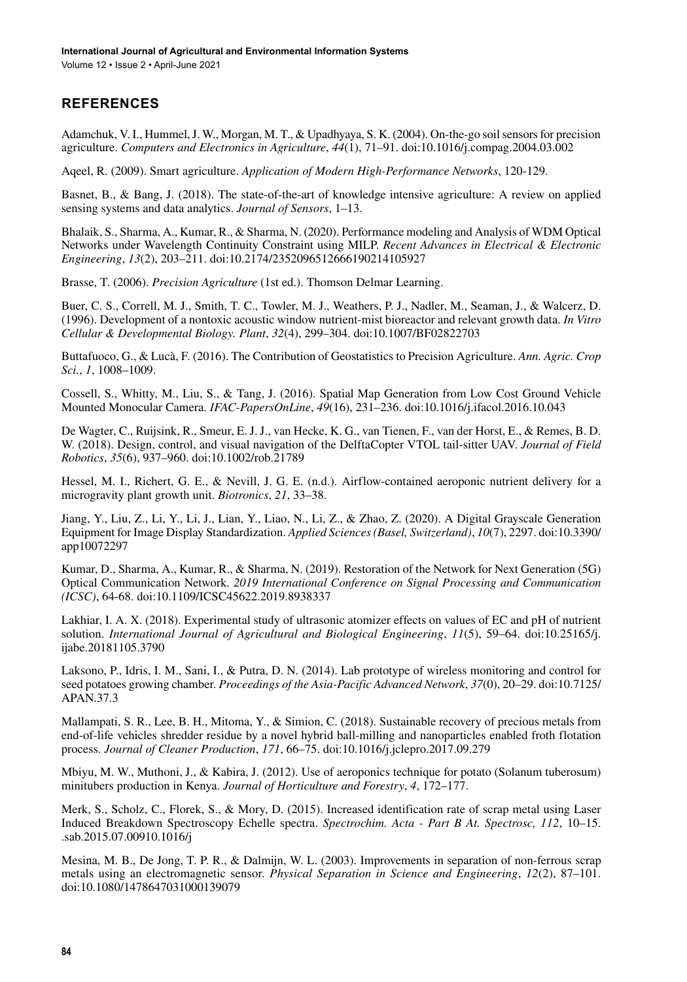# **REFERENCES**

Adamchuk, V. I., Hummel, J. W., Morgan, M. T., & Upadhyaya, S. K. (2004). On-the-go soil sensors for precision agriculture. *Computers and Electronics in Agriculture*, *44*(1), 71–91. doi:[10.1016/j.compag.2004.03.002](http://dx.doi.org/10.1016/j.compag.2004.03.002)

Aqeel, R. (2009). Smart agriculture. *Application of Modern High-Performance Networks*, 120-129.

Basnet, B., & Bang, J. (2018). The state-of-the-art of knowledge intensive agriculture: A review on applied sensing systems and data analytics. *Journal of Sensors*, 1–13.

Bhalaik, S., Sharma, A., Kumar, R., & Sharma, N. (2020). Performance modeling and Analysis of WDM Optical Networks under Wavelength Continuity Constraint using MILP. *Recent Advances in Electrical & Electronic Engineering*, *13*(2), 203–211. doi[:10.2174/2352096512666190214105927](http://dx.doi.org/10.2174/2352096512666190214105927)

Brasse, T. (2006). *Precision Agriculture* (1st ed.). Thomson Delmar Learning.

Buer, C. S., Correll, M. J., Smith, T. C., Towler, M. J., Weathers, P. J., Nadler, M., Seaman, J., & Walcerz, D. (1996). Development of a nontoxic acoustic window nutrient-mist bioreactor and relevant growth data. *In Vitro Cellular & Developmental Biology. Plant*, *32*(4), 299–304. doi[:10.1007/BF02822703](http://dx.doi.org/10.1007/BF02822703)

Buttafuoco, G., & Lucà, F. (2016). The Contribution of Geostatistics to Precision Agriculture. *Ann. Agric. Crop Sci.*, *1*, 1008–1009.

Cossell, S., Whitty, M., Liu, S., & Tang, J. (2016). Spatial Map Generation from Low Cost Ground Vehicle Mounted Monocular Camera. *IFAC-PapersOnLine*, *49*(16), 231–236. doi[:10.1016/j.ifacol.2016.10.043](http://dx.doi.org/10.1016/j.ifacol.2016.10.043)

De Wagter, C., Ruijsink, R., Smeur, E. J. J., van Hecke, K. G., van Tienen, F., van der Horst, E., & Remes, B. D. W. (2018). Design, control, and visual navigation of the DelftaCopter VTOL tail-sitter UAV. *Journal of Field Robotics*, *35*(6), 937–960. doi:[10.1002/rob.21789](http://dx.doi.org/10.1002/rob.21789)

Hessel, M. I., Richert, G. E., & Nevill, J. G. E. (n.d.). Airflow-contained aeroponic nutrient delivery for a microgravity plant growth unit. *Biotronics*, *21*, 33–38.

Jiang, Y., Liu, Z., Li, Y., Li, J., Lian, Y., Liao, N., Li, Z., & Zhao, Z. (2020). A Digital Grayscale Generation Equipment for Image Display Standardization. *Applied Sciences (Basel, Switzerland)*, *10*(7), 2297. doi[:10.3390/](http://dx.doi.org/10.3390/app10072297) [app10072297](http://dx.doi.org/10.3390/app10072297)

Kumar, D., Sharma, A., Kumar, R., & Sharma, N. (2019). Restoration of the Network for Next Generation (5G) Optical Communication Network. *2019 International Conference on Signal Processing and Communication (ICSC)*, 64-68. doi[:10.1109/ICSC45622.2019.8938337](http://dx.doi.org/10.1109/ICSC45622.2019.8938337)

Lakhiar, I. A. X. (2018). Experimental study of ultrasonic atomizer effects on values of EC and pH of nutrient solution. *International Journal of Agricultural and Biological Engineering*, *11*(5), 59–64. doi:[10.25165/j.](http://dx.doi.org/10.25165/j.ijabe.20181105.3790) [ijabe.20181105.3790](http://dx.doi.org/10.25165/j.ijabe.20181105.3790)

Laksono, P., Idris, I. M., Sani, I., & Putra, D. N. (2014). Lab prototype of wireless monitoring and control for seed potatoes growing chamber. *Proceedings of the Asia-Pacific Advanced Network*, *37*(0), 20–29. doi[:10.7125/](http://dx.doi.org/10.7125/APAN.37.3) [APAN.37.3](http://dx.doi.org/10.7125/APAN.37.3)

Mallampati, S. R., Lee, B. H., Mitoma, Y., & Simion, C. (2018). Sustainable recovery of precious metals from end-of-life vehicles shredder residue by a novel hybrid ball-milling and nanoparticles enabled froth flotation process. *Journal of Cleaner Production*, *171*, 66–75. doi[:10.1016/j.jclepro.2017.09.279](http://dx.doi.org/10.1016/j.jclepro.2017.09.279)

Mbiyu, M. W., Muthoni, J., & Kabira, J. (2012). Use of aeroponics technique for potato (Solanum tuberosum) minitubers production in Kenya. *Journal of Horticulture and Forestry*, *4*, 172–177.

Merk, S., Scholz, C., Florek, S., & Mory, D. (2015). Increased identification rate of scrap metal using Laser Induced Breakdown Spectroscopy Echelle spectra. *Spectrochim. Acta - Part B At. Spectrosc, 112*, 10–15. .sab.2015.07.00910.1016/j

Mesina, M. B., De Jong, T. P. R., & Dalmijn, W. L. (2003). Improvements in separation of non-ferrous scrap metals using an electromagnetic sensor. *Physical Separation in Science and Engineering*, *12*(2), 87–101. doi[:10.1080/1478647031000139079](http://dx.doi.org/10.1080/1478647031000139079)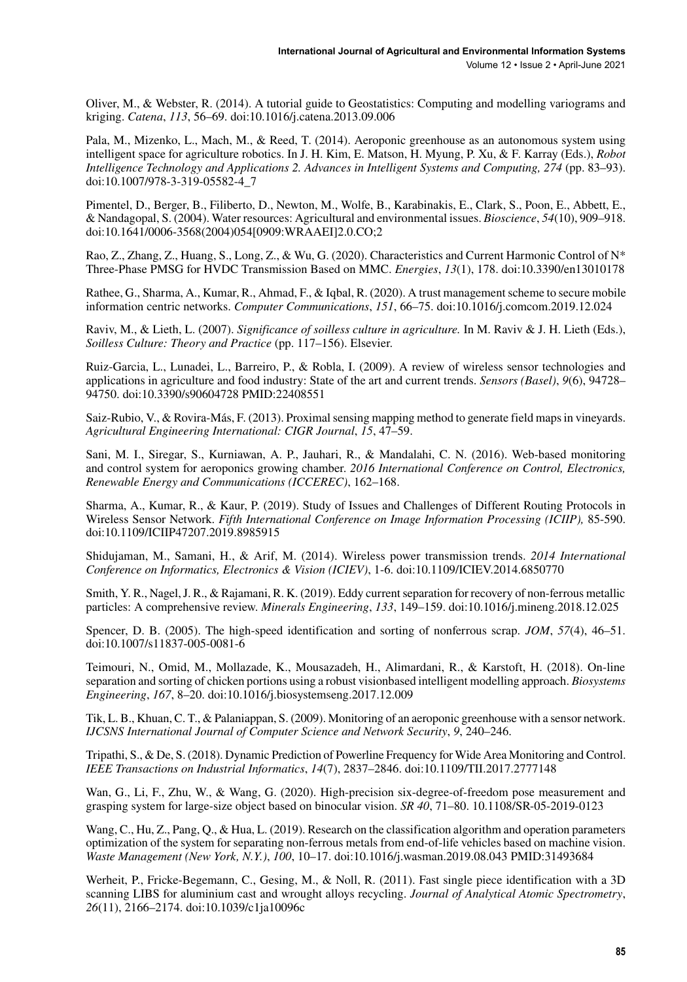Oliver, M., & Webster, R. (2014). A tutorial guide to Geostatistics: Computing and modelling variograms and kriging. *Catena*, *113*, 56–69. doi[:10.1016/j.catena.2013.09.006](http://dx.doi.org/10.1016/j.catena.2013.09.006)

Pala, M., Mizenko, L., Mach, M., & Reed, T. (2014). Aeroponic greenhouse as an autonomous system using intelligent space for agriculture robotics. In J. H. Kim, E. Matson, H. Myung, P. Xu, & F. Karray (Eds.), *Robot Intelligence Technology and Applications 2. Advances in Intelligent Systems and Computing, 274* (pp. 83–93). doi[:10.1007/978-3-319-05582-4\\_7](http://dx.doi.org/10.1007/978-3-319-05582-4_7)

Pimentel, D., Berger, B., Filiberto, D., Newton, M., Wolfe, B., Karabinakis, E., Clark, S., Poon, E., Abbett, E., & Nandagopal, S. (2004). Water resources: Agricultural and environmental issues. *Bioscience*, *54*(10), 909–918. doi[:10.1641/0006-3568\(2004\)054\[0909:WRAAEI\]2.0.CO;2](http://dx.doi.org/10.1641/0006-3568(2004)054[0909:WRAAEI]2.0.CO;2)

Rao, Z., Zhang, Z., Huang, S., Long, Z., & Wu, G. (2020). Characteristics and Current Harmonic Control of N\* Three-Phase PMSG for HVDC Transmission Based on MMC. *Energies*, *13*(1), 178. doi:[10.3390/en13010178](http://dx.doi.org/10.3390/en13010178)

Rathee, G., Sharma, A., Kumar, R., Ahmad, F., & Iqbal, R. (2020). A trust management scheme to secure mobile information centric networks. *Computer Communications*, *151*, 66–75. doi[:10.1016/j.comcom.2019.12.024](http://dx.doi.org/10.1016/j.comcom.2019.12.024)

Raviv, M., & Lieth, L. (2007). *Significance of soilless culture in agriculture.* In M. Raviv & J. H. Lieth (Eds.), *Soilless Culture: Theory and Practice* (pp. 117–156). Elsevier.

Ruiz-Garcia, L., Lunadei, L., Barreiro, P., & Robla, I. (2009). A review of wireless sensor technologies and applications in agriculture and food industry: State of the art and current trends. *Sensors (Basel)*, *9*(6), 94728– 94750. doi[:10.3390/s90604728](http://dx.doi.org/10.3390/s90604728) PMID:[22408551](http://www.ncbi.nlm.nih.gov/pubmed/22408551)

Saiz-Rubio, V., & Rovira-Más, F. (2013). Proximal sensing mapping method to generate field maps in vineyards. *Agricultural Engineering International: CIGR Journal*, *15*, 47–59.

Sani, M. I., Siregar, S., Kurniawan, A. P., Jauhari, R., & Mandalahi, C. N. (2016). Web-based monitoring and control system for aeroponics growing chamber. *2016 International Conference on Control, Electronics, Renewable Energy and Communications (ICCEREC)*, 162–168.

Sharma, A., Kumar, R., & Kaur, P. (2019). Study of Issues and Challenges of Different Routing Protocols in Wireless Sensor Network. *Fifth International Conference on Image Information Processing (ICIIP),* 85-590. doi[:10.1109/ICIIP47207.2019.8985915](http://dx.doi.org/10.1109/ICIIP47207.2019.8985915)

Shidujaman, M., Samani, H., & Arif, M. (2014). Wireless power transmission trends. *2014 International Conference on Informatics, Electronics & Vision (ICIEV)*, 1-6. doi:[10.1109/ICIEV.2014.6850770](http://dx.doi.org/10.1109/ICIEV.2014.6850770)

Smith, Y. R., Nagel, J. R., & Rajamani, R. K. (2019). Eddy current separation for recovery of non-ferrous metallic particles: A comprehensive review. *Minerals Engineering*, *133*, 149–159. doi[:10.1016/j.mineng.2018.12.025](http://dx.doi.org/10.1016/j.mineng.2018.12.025)

Spencer, D. B. (2005). The high-speed identification and sorting of nonferrous scrap. *JOM*, *57*(4), 46–51. doi[:10.1007/s11837-005-0081-6](http://dx.doi.org/10.1007/s11837-005-0081-6)

Teimouri, N., Omid, M., Mollazade, K., Mousazadeh, H., Alimardani, R., & Karstoft, H. (2018). On-line separation and sorting of chicken portions using a robust visionbased intelligent modelling approach. *Biosystems Engineering*, *167*, 8–20. doi:[10.1016/j.biosystemseng.2017.12.009](http://dx.doi.org/10.1016/j.biosystemseng.2017.12.009)

Tik, L. B., Khuan, C. T., & Palaniappan, S. (2009). Monitoring of an aeroponic greenhouse with a sensor network. *IJCSNS International Journal of Computer Science and Network Security*, *9*, 240–246.

Tripathi, S., & De, S. (2018). Dynamic Prediction of Powerline Frequency for Wide Area Monitoring and Control. *IEEE Transactions on Industrial Informatics*, *14*(7), 2837–2846. doi[:10.1109/TII.2017.2777148](http://dx.doi.org/10.1109/TII.2017.2777148)

Wan, G., Li, F., Zhu, W., & Wang, G. (2020). High-precision six-degree-of-freedom pose measurement and grasping system for large-size object based on binocular vision. *SR 40*, 71–80. 10.1108/SR-05-2019-0123

Wang, C., Hu, Z., Pang, Q., & Hua, L. (2019). Research on the classification algorithm and operation parameters optimization of the system for separating non-ferrous metals from end-of-life vehicles based on machine vision. *Waste Management (New York, N.Y.)*, *100*, 10–17. doi[:10.1016/j.wasman.2019.08.043](http://dx.doi.org/10.1016/j.wasman.2019.08.043) PMID:[31493684](http://www.ncbi.nlm.nih.gov/pubmed/31493684)

Werheit, P., Fricke-Begemann, C., Gesing, M., & Noll, R. (2011). Fast single piece identification with a 3D scanning LIBS for aluminium cast and wrought alloys recycling. *Journal of Analytical Atomic Spectrometry*, *26*(11), 2166–2174. doi[:10.1039/c1ja10096c](http://dx.doi.org/10.1039/c1ja10096c)